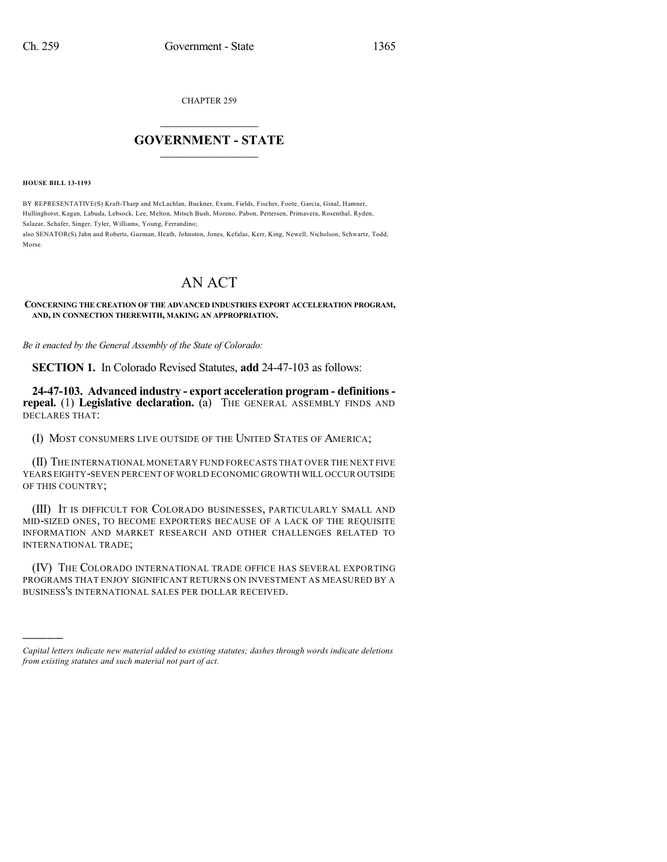CHAPTER 259

## $\mathcal{L}_\text{max}$  . The set of the set of the set of the set of the set of the set of the set of the set of the set of the set of the set of the set of the set of the set of the set of the set of the set of the set of the set **GOVERNMENT - STATE**  $\_$   $\_$   $\_$   $\_$   $\_$   $\_$   $\_$   $\_$

**HOUSE BILL 13-1193**

)))))

BY REPRESENTATIVE(S) Kraft-Tharp and McLachlan, Buckner, Exum, Fields, Fischer, Foote, Garcia, Ginal, Hamner, Hullinghorst, Kagan, Labuda, Lebsock, Lee, Melton, Mitsch Bush, Moreno, Pabon, Pettersen, Primavera, Rosenthal, Ryden, Salazar, Schafer, Singer, Tyler, Williams, Young, Ferrandino;

also SENATOR(S) Jahn and Roberts, Guzman, Heath, Johnston, Jones, Kefalas, Kerr, King, Newell, Nicholson, Schwartz, Todd, Morse.

## AN ACT

**CONCERNING THE CREATION OF THE ADVANCED INDUSTRIES EXPORT ACCELERATION PROGRAM, AND, IN CONNECTION THEREWITH, MAKING AN APPROPRIATION.**

*Be it enacted by the General Assembly of the State of Colorado:*

**SECTION 1.** In Colorado Revised Statutes, **add** 24-47-103 as follows:

**24-47-103. Advanced industry - export acceleration program - definitionsrepeal.** (1) **Legislative declaration.** (a) THE GENERAL ASSEMBLY FINDS AND DECLARES THAT:

(I) MOST CONSUMERS LIVE OUTSIDE OF THE UNITED STATES OF AMERICA;

(II) THE INTERNATIONAL MONETARY FUND FORECASTS THAT OVER THE NEXT FIVE YEARS EIGHTY-SEVEN PERCENT OF WORLD ECONOMIC GROWTH WILL OCCUR OUTSIDE OF THIS COUNTRY;

(III) IT IS DIFFICULT FOR COLORADO BUSINESSES, PARTICULARLY SMALL AND MID-SIZED ONES, TO BECOME EXPORTERS BECAUSE OF A LACK OF THE REQUISITE INFORMATION AND MARKET RESEARCH AND OTHER CHALLENGES RELATED TO INTERNATIONAL TRADE;

(IV) THE COLORADO INTERNATIONAL TRADE OFFICE HAS SEVERAL EXPORTING PROGRAMS THAT ENJOY SIGNIFICANT RETURNS ON INVESTMENT AS MEASURED BY A BUSINESS'S INTERNATIONAL SALES PER DOLLAR RECEIVED.

*Capital letters indicate new material added to existing statutes; dashes through words indicate deletions from existing statutes and such material not part of act.*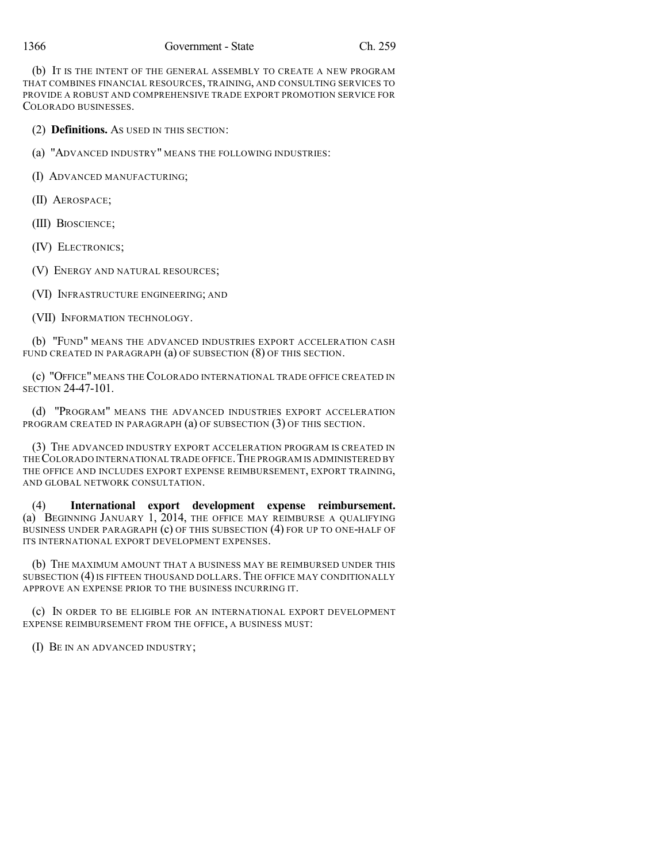(b) IT IS THE INTENT OF THE GENERAL ASSEMBLY TO CREATE A NEW PROGRAM THAT COMBINES FINANCIAL RESOURCES, TRAINING, AND CONSULTING SERVICES TO PROVIDE A ROBUST AND COMPREHENSIVE TRADE EXPORT PROMOTION SERVICE FOR COLORADO BUSINESSES.

(2) **Definitions.** AS USED IN THIS SECTION:

(a) "ADVANCED INDUSTRY" MEANS THE FOLLOWING INDUSTRIES:

(I) ADVANCED MANUFACTURING;

(II) AEROSPACE;

(III) BIOSCIENCE;

(IV) ELECTRONICS;

(V) ENERGY AND NATURAL RESOURCES;

(VI) INFRASTRUCTURE ENGINEERING; AND

(VII) INFORMATION TECHNOLOGY.

(b) "FUND" MEANS THE ADVANCED INDUSTRIES EXPORT ACCELERATION CASH FUND CREATED IN PARAGRAPH (a) OF SUBSECTION (8) OF THIS SECTION.

(c) "OFFICE" MEANS THE COLORADO INTERNATIONAL TRADE OFFICE CREATED IN SECTION 24-47-101.

(d) "PROGRAM" MEANS THE ADVANCED INDUSTRIES EXPORT ACCELERATION PROGRAM CREATED IN PARAGRAPH (a) OF SUBSECTION (3) OF THIS SECTION.

(3) THE ADVANCED INDUSTRY EXPORT ACCELERATION PROGRAM IS CREATED IN THE COLORADO INTERNATIONAL TRADE OFFICE. THE PROGRAM IS ADMINISTERED BY THE OFFICE AND INCLUDES EXPORT EXPENSE REIMBURSEMENT, EXPORT TRAINING, AND GLOBAL NETWORK CONSULTATION.

(4) **International export development expense reimbursement.** (a) BEGINNING JANUARY 1, 2014, THE OFFICE MAY REIMBURSE A QUALIFYING BUSINESS UNDER PARAGRAPH (c) OF THIS SUBSECTION (4) FOR UP TO ONE-HALF OF ITS INTERNATIONAL EXPORT DEVELOPMENT EXPENSES.

(b) THE MAXIMUM AMOUNT THAT A BUSINESS MAY BE REIMBURSED UNDER THIS SUBSECTION (4) IS FIFTEEN THOUSAND DOLLARS. THE OFFICE MAY CONDITIONALLY APPROVE AN EXPENSE PRIOR TO THE BUSINESS INCURRING IT.

(c) IN ORDER TO BE ELIGIBLE FOR AN INTERNATIONAL EXPORT DEVELOPMENT EXPENSE REIMBURSEMENT FROM THE OFFICE, A BUSINESS MUST:

(I) BE IN AN ADVANCED INDUSTRY;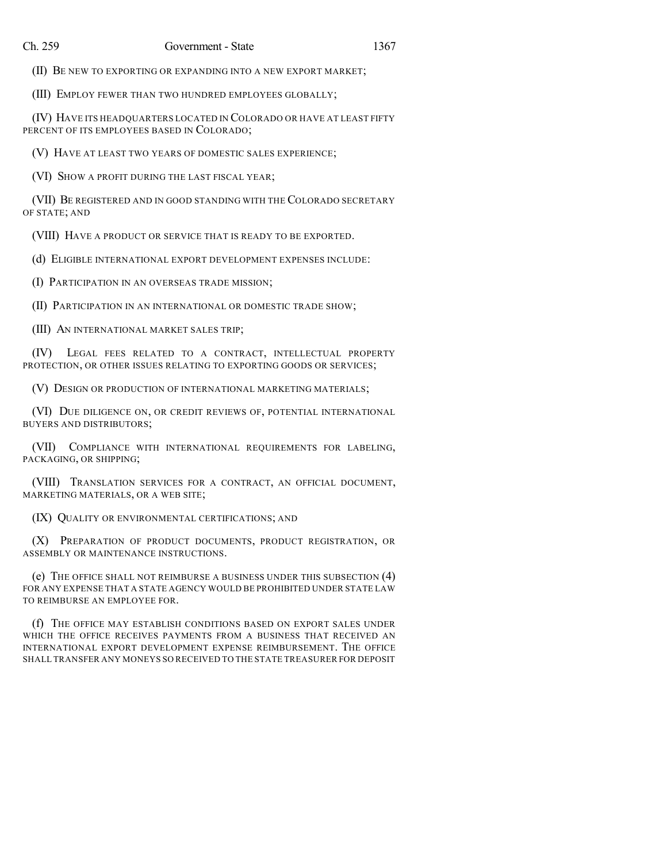(II) BE NEW TO EXPORTING OR EXPANDING INTO A NEW EXPORT MARKET;

(III) EMPLOY FEWER THAN TWO HUNDRED EMPLOYEES GLOBALLY;

(IV) HAVE ITS HEADQUARTERS LOCATED IN COLORADO OR HAVE AT LEAST FIFTY PERCENT OF ITS EMPLOYEES BASED IN COLORADO;

(V) HAVE AT LEAST TWO YEARS OF DOMESTIC SALES EXPERIENCE;

(VI) SHOW A PROFIT DURING THE LAST FISCAL YEAR;

(VII) BE REGISTERED AND IN GOOD STANDING WITH THE COLORADO SECRETARY OF STATE; AND

(VIII) HAVE A PRODUCT OR SERVICE THAT IS READY TO BE EXPORTED.

(d) ELIGIBLE INTERNATIONAL EXPORT DEVELOPMENT EXPENSES INCLUDE:

(I) PARTICIPATION IN AN OVERSEAS TRADE MISSION;

(II) PARTICIPATION IN AN INTERNATIONAL OR DOMESTIC TRADE SHOW;

(III) AN INTERNATIONAL MARKET SALES TRIP;

(IV) LEGAL FEES RELATED TO A CONTRACT, INTELLECTUAL PROPERTY PROTECTION, OR OTHER ISSUES RELATING TO EXPORTING GOODS OR SERVICES;

(V) DESIGN OR PRODUCTION OF INTERNATIONAL MARKETING MATERIALS;

(VI) DUE DILIGENCE ON, OR CREDIT REVIEWS OF, POTENTIAL INTERNATIONAL BUYERS AND DISTRIBUTORS;

(VII) COMPLIANCE WITH INTERNATIONAL REQUIREMENTS FOR LABELING, PACKAGING, OR SHIPPING;

(VIII) TRANSLATION SERVICES FOR A CONTRACT, AN OFFICIAL DOCUMENT, MARKETING MATERIALS, OR A WEB SITE;

(IX) QUALITY OR ENVIRONMENTAL CERTIFICATIONS; AND

(X) PREPARATION OF PRODUCT DOCUMENTS, PRODUCT REGISTRATION, OR ASSEMBLY OR MAINTENANCE INSTRUCTIONS.

(e) THE OFFICE SHALL NOT REIMBURSE A BUSINESS UNDER THIS SUBSECTION (4) FOR ANY EXPENSE THAT A STATE AGENCY WOULD BE PROHIBITED UNDER STATE LAW TO REIMBURSE AN EMPLOYEE FOR.

(f) THE OFFICE MAY ESTABLISH CONDITIONS BASED ON EXPORT SALES UNDER WHICH THE OFFICE RECEIVES PAYMENTS FROM A BUSINESS THAT RECEIVED AN INTERNATIONAL EXPORT DEVELOPMENT EXPENSE REIMBURSEMENT. THE OFFICE SHALL TRANSFER ANY MONEYS SO RECEIVED TO THE STATE TREASURER FOR DEPOSIT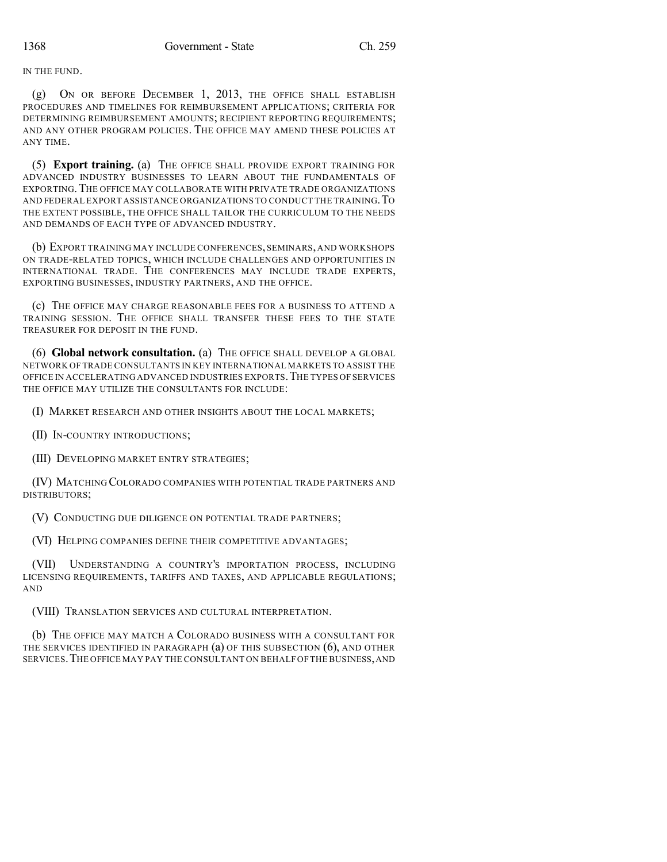IN THE FUND.

(g) ON OR BEFORE DECEMBER 1, 2013, THE OFFICE SHALL ESTABLISH PROCEDURES AND TIMELINES FOR REIMBURSEMENT APPLICATIONS; CRITERIA FOR DETERMINING REIMBURSEMENT AMOUNTS; RECIPIENT REPORTING REQUIREMENTS; AND ANY OTHER PROGRAM POLICIES. THE OFFICE MAY AMEND THESE POLICIES AT ANY TIME.

(5) **Export training.** (a) THE OFFICE SHALL PROVIDE EXPORT TRAINING FOR ADVANCED INDUSTRY BUSINESSES TO LEARN ABOUT THE FUNDAMENTALS OF EXPORTING. THE OFFICE MAY COLLABORATE WITH PRIVATE TRADE ORGANIZATIONS AND FEDERAL EXPORT ASSISTANCE ORGANIZATIONS TO CONDUCT THE TRAINING.TO THE EXTENT POSSIBLE, THE OFFICE SHALL TAILOR THE CURRICULUM TO THE NEEDS AND DEMANDS OF EACH TYPE OF ADVANCED INDUSTRY.

(b) EXPORT TRAINING MAY INCLUDE CONFERENCES, SEMINARS, AND WORKSHOPS ON TRADE-RELATED TOPICS, WHICH INCLUDE CHALLENGES AND OPPORTUNITIES IN INTERNATIONAL TRADE. THE CONFERENCES MAY INCLUDE TRADE EXPERTS, EXPORTING BUSINESSES, INDUSTRY PARTNERS, AND THE OFFICE.

(c) THE OFFICE MAY CHARGE REASONABLE FEES FOR A BUSINESS TO ATTEND A TRAINING SESSION. THE OFFICE SHALL TRANSFER THESE FEES TO THE STATE TREASURER FOR DEPOSIT IN THE FUND.

(6) **Global network consultation.** (a) THE OFFICE SHALL DEVELOP A GLOBAL NETWORK OF TRADE CONSULTANTS IN KEY INTERNATIONAL MARKETS TO ASSIST THE OFFICE IN ACCELERATING ADVANCED INDUSTRIES EXPORTS.THE TYPES OF SERVICES THE OFFICE MAY UTILIZE THE CONSULTANTS FOR INCLUDE:

(I) MARKET RESEARCH AND OTHER INSIGHTS ABOUT THE LOCAL MARKETS;

(II) IN-COUNTRY INTRODUCTIONS;

(III) DEVELOPING MARKET ENTRY STRATEGIES;

(IV) MATCHING COLORADO COMPANIES WITH POTENTIAL TRADE PARTNERS AND DISTRIBUTORS;

(V) CONDUCTING DUE DILIGENCE ON POTENTIAL TRADE PARTNERS;

(VI) HELPING COMPANIES DEFINE THEIR COMPETITIVE ADVANTAGES;

(VII) UNDERSTANDING A COUNTRY'S IMPORTATION PROCESS, INCLUDING LICENSING REQUIREMENTS, TARIFFS AND TAXES, AND APPLICABLE REGULATIONS; AND

(VIII) TRANSLATION SERVICES AND CULTURAL INTERPRETATION.

(b) THE OFFICE MAY MATCH A COLORADO BUSINESS WITH A CONSULTANT FOR THE SERVICES IDENTIFIED IN PARAGRAPH (a) OF THIS SUBSECTION (6), AND OTHER SERVICES.THE OFFICE MAY PAY THE CONSULTANT ON BEHALF OF THE BUSINESS,AND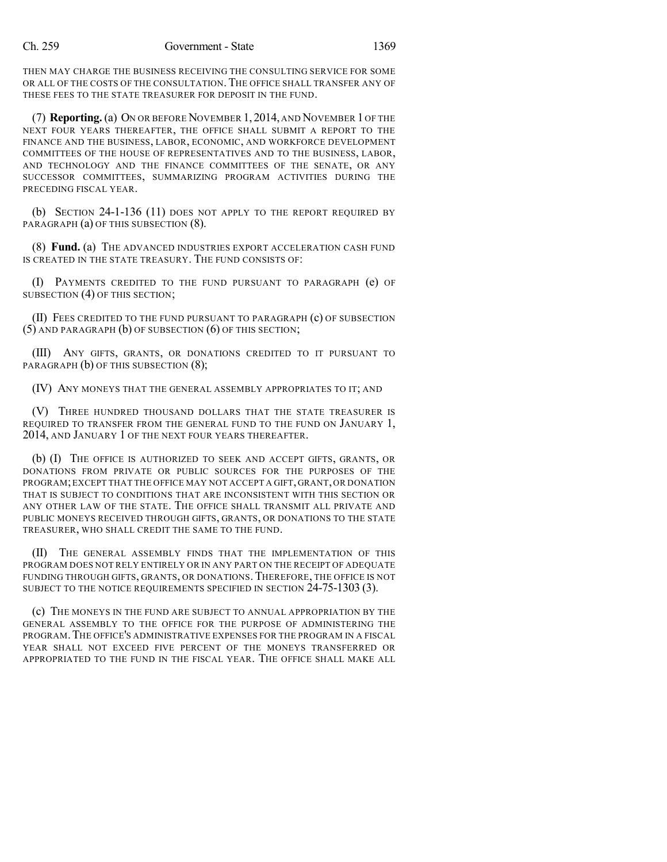THEN MAY CHARGE THE BUSINESS RECEIVING THE CONSULTING SERVICE FOR SOME OR ALL OF THE COSTS OF THE CONSULTATION. THE OFFICE SHALL TRANSFER ANY OF THESE FEES TO THE STATE TREASURER FOR DEPOSIT IN THE FUND.

(7) **Reporting.**(a) ON OR BEFORE NOVEMBER 1, 2014, AND NOVEMBER 1 OF THE NEXT FOUR YEARS THEREAFTER, THE OFFICE SHALL SUBMIT A REPORT TO THE FINANCE AND THE BUSINESS, LABOR, ECONOMIC, AND WORKFORCE DEVELOPMENT COMMITTEES OF THE HOUSE OF REPRESENTATIVES AND TO THE BUSINESS, LABOR, AND TECHNOLOGY AND THE FINANCE COMMITTEES OF THE SENATE, OR ANY SUCCESSOR COMMITTEES, SUMMARIZING PROGRAM ACTIVITIES DURING THE PRECEDING FISCAL YEAR.

(b) SECTION 24-1-136 (11) DOES NOT APPLY TO THE REPORT REQUIRED BY PARAGRAPH (a) OF THIS SUBSECTION (8).

(8) **Fund.** (a) THE ADVANCED INDUSTRIES EXPORT ACCELERATION CASH FUND IS CREATED IN THE STATE TREASURY. THE FUND CONSISTS OF:

(I) PAYMENTS CREDITED TO THE FUND PURSUANT TO PARAGRAPH (e) OF SUBSECTION (4) OF THIS SECTION;

(II) FEES CREDITED TO THE FUND PURSUANT TO PARAGRAPH (c) OF SUBSECTION (5) AND PARAGRAPH (b) OF SUBSECTION (6) OF THIS SECTION;

(III) ANY GIFTS, GRANTS, OR DONATIONS CREDITED TO IT PURSUANT TO PARAGRAPH (b) OF THIS SUBSECTION (8);

(IV) ANY MONEYS THAT THE GENERAL ASSEMBLY APPROPRIATES TO IT; AND

(V) THREE HUNDRED THOUSAND DOLLARS THAT THE STATE TREASURER IS REQUIRED TO TRANSFER FROM THE GENERAL FUND TO THE FUND ON JANUARY 1, 2014, AND JANUARY 1 OF THE NEXT FOUR YEARS THEREAFTER.

(b) (I) THE OFFICE IS AUTHORIZED TO SEEK AND ACCEPT GIFTS, GRANTS, OR DONATIONS FROM PRIVATE OR PUBLIC SOURCES FOR THE PURPOSES OF THE PROGRAM;EXCEPT THAT THE OFFICE MAY NOT ACCEPT A GIFT, GRANT, OR DONATION THAT IS SUBJECT TO CONDITIONS THAT ARE INCONSISTENT WITH THIS SECTION OR ANY OTHER LAW OF THE STATE. THE OFFICE SHALL TRANSMIT ALL PRIVATE AND PUBLIC MONEYS RECEIVED THROUGH GIFTS, GRANTS, OR DONATIONS TO THE STATE TREASURER, WHO SHALL CREDIT THE SAME TO THE FUND.

(II) THE GENERAL ASSEMBLY FINDS THAT THE IMPLEMENTATION OF THIS PROGRAM DOES NOT RELY ENTIRELY OR IN ANY PART ON THE RECEIPT OF ADEQUATE FUNDING THROUGH GIFTS, GRANTS, OR DONATIONS. THEREFORE, THE OFFICE IS NOT SUBJECT TO THE NOTICE REQUIREMENTS SPECIFIED IN SECTION 24-75-1303 (3).

(c) THE MONEYS IN THE FUND ARE SUBJECT TO ANNUAL APPROPRIATION BY THE GENERAL ASSEMBLY TO THE OFFICE FOR THE PURPOSE OF ADMINISTERING THE PROGRAM.THE OFFICE'S ADMINISTRATIVE EXPENSES FOR THE PROGRAM IN A FISCAL YEAR SHALL NOT EXCEED FIVE PERCENT OF THE MONEYS TRANSFERRED OR APPROPRIATED TO THE FUND IN THE FISCAL YEAR. THE OFFICE SHALL MAKE ALL